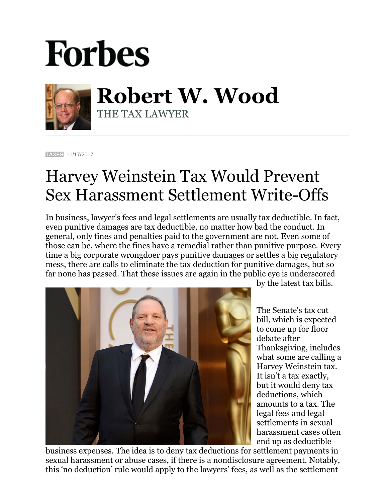## **Forbes**



**Robert W. Wood** THE TAX LAWYER

**[TAXES](https://www.forbes.com/taxes)** 11/17/2017

## Harvey Weinstein Tax Would Prevent Sex Harassment Settlement Write-Offs

In business, lawyer's fees and legal settlements are usually tax deductible. In fact, even punitive damages are tax deductible, no matter how bad the conduct. In general, only fines and penalties paid to the government are not. Even some of those can be, where the fines have a remedial rather than punitive purpose. Every time a big corporate wrongdoer pays punitive damages or settles a big regulatory mess, there are calls to eliminate the tax deduction for punitive damages, but so far none has passed. That these issues are again in the public eye is underscored



by the latest tax bills.

The Senate's tax cut bill, which is expected to come up for floor debate after Thanksgiving, includes what some are calling a Harvey Weinstein tax. It isn't a tax exactly, but it would deny tax deductions, which amounts to a tax. The legal fees and legal settlements in sexual harassment cases often end up as deductible

business expenses. The idea is to deny tax deductions for settlement payments in sexual harassment or abuse cases, if there is a nondisclosure agreement. Notably, this 'no deduction' rule would apply to the lawyers' fees, as well as the settlement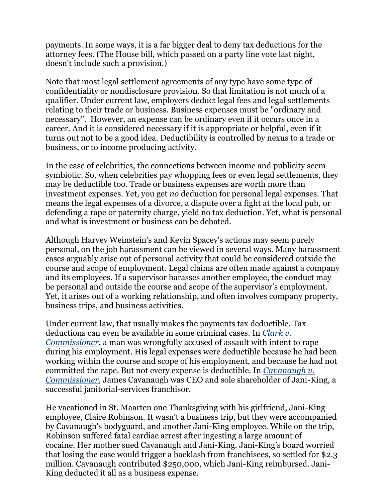payments. In some ways, it is a far bigger deal to deny tax deductions for the attorney fees. (The House bill, which passed on a party line vote last night, doesn't include such a provision.)

Note that most legal settlement agreements of any type have some type of confidentiality or nondisclosure provision. So that limitation is not much of a qualifier. Under current law, employers deduct legal fees and legal settlements relating to their trade or business. Business expenses must be "ordinary and necessary". However, an expense can be ordinary even if it occurs once in a career. And it is considered necessary if it is appropriate or helpful, even if it turns out not to be a good idea. Deductibility is controlled by nexus to a trade or business, or to income producing activity.

In the case of celebrities, the connections between income and publicity seem symbiotic. So, when celebrities pay whopping fees or even legal settlements, they may be deductible too. Trade or business expenses are worth more than investment expenses. Yet, you get *no* deduction for personal legal expenses. That means the legal expenses of a divorce, a dispute over a fight at the local pub, or defending a rape or paternity charge, yield no tax deduction. Yet, what is personal and what is investment or business can be debated.

Although Harvey Weinstein's and Kevin Spacey's actions may seem purely personal, on the job harassment can be viewed in several ways. Many harassment cases arguably arise out of personal activity that could be considered outside the course and scope of employment. Legal claims are often made against a company and its employees. If a supervisor harasses another employee, the conduct may be personal and outside the course and scope of the supervisor's employment. Yet, it arises out of a working relationship, and often involves company property, business trips, and business activities.

Under current law, that usually makes the payments tax deductible. Tax deductions can even be available in some criminal cases. In *[Clark v.](https://casetext.com/case/clark-v-commissioner-of-internal-revenue-22)  [Commissioner](https://casetext.com/case/clark-v-commissioner-of-internal-revenue-22)*, a man was wrongfully accused of assault with intent to rape during his employment. His legal expenses were deductible because he had been working within the course and scope of his employment, and because he had not committed the rape. But not every expense is deductible. In *[Cavanaugh v.](http://taxtrials.com/wp-content/uploads/2012/11/CavanaughMemo.TCM_.WPD.pdf)  [Commissioner,](http://taxtrials.com/wp-content/uploads/2012/11/CavanaughMemo.TCM_.WPD.pdf)* James Cavanaugh was CEO and sole shareholder of Jani-King, a successful janitorial-services franchisor.

He vacationed in St. Maarten one Thanksgiving with his girlfriend, Jani-King employee, Claire Robinson. It wasn't a business trip, but they were accompanied by Cavanaugh's bodyguard, and another Jani-King employee. While on the trip, Robinson suffered fatal cardiac arrest after ingesting a large amount of cocaine. Her mother sued Cavanaugh and Jani-King. Jani-King's board worried that losing the case would trigger a backlash from franchisees, so settled for \$2.3 million. Cavanaugh contributed \$250,000, which Jani-King reimbursed. Jani-King deducted it all as a business expense.